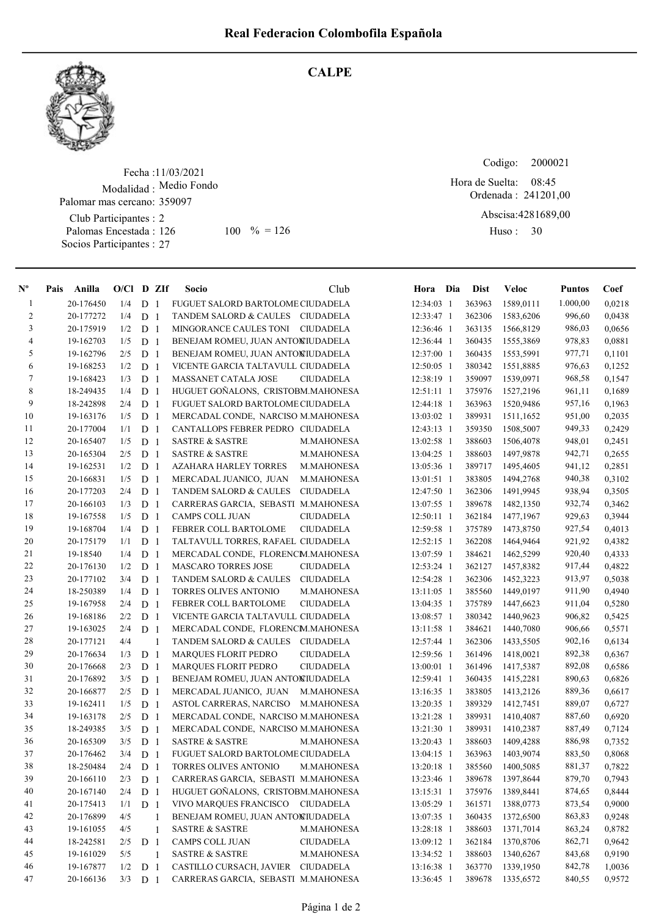

## **CALPE**

Fecha : 11/03/2021 Modalidad : Medio Fondo Palomar mas cercano: 359097

Club Participantes : 2 Palomas Encestada : Socios Participantes : 27

Codigo: Ordenada : 241201,00 Abscisa: 4281689,00 Huso: 30 Hora de Suelta: 08:45 126 100 % = 126 Huso: 30

| $\mathbf{N}^{\mathbf{o}}$ | Pais Anilla | $O/Cl$ D ZIf |                |              | Socio                               | Club              | Hora Dia     | <b>Dist</b> | <b>Veloc</b>     | <b>Puntos</b> | Coef   |
|---------------------------|-------------|--------------|----------------|--------------|-------------------------------------|-------------------|--------------|-------------|------------------|---------------|--------|
| $\mathbf{1}$              | 20-176450   | 1/4          | D <sub>1</sub> |              | FUGUET SALORD BARTOLOME CIUDADELA   |                   | 12:34:03 1   | 363963      | 1589,0111        | 1.000,00      | 0,0218 |
| $\overline{c}$            | 20-177272   | 1/4          | D <sub>1</sub> |              | TANDEM SALORD & CAULES CIUDADELA    |                   | 12:33:47 1   | 362306      | 1583,6206        | 996,60        | 0,0438 |
| 3                         | 20-175919   | 1/2          | D <sub>1</sub> |              | MINGORANCE CAULES TONI CIUDADELA    |                   | 12:36:46 1   | 363135      | 1566,8129        | 986,03        | 0,0656 |
| 4                         | 19-162703   | 1/5          | D <sub>1</sub> |              | BENEJAM ROMEU, JUAN ANTONIUDADELA   |                   | 12:36:44 1   | 360435      | 1555,3869        | 978,83        | 0,0881 |
| 5                         | 19-162796   | 2/5          | D              | -1           | BENEJAM ROMEU, JUAN ANTONIUDADELA   |                   | 12:37:00 1   | 360435      | 1553,5991        | 977,71        | 0,1101 |
| 6                         | 19-168253   | 1/2          | D              | -1           | VICENTE GARCIA TALTAVULL CIUDADELA  |                   | 12:50:05 1   | 380342      | 1551,8885        | 976,63        | 0,1252 |
| 7                         | 19-168423   | 1/3          | D              | $\mathbf{1}$ | MASSANET CATALA JOSE                | <b>CIUDADELA</b>  | 12:38:19 1   | 359097      | 1539,0971        | 968,58        | 0,1547 |
| $\,8\,$                   | 18-249435   | 1/4          | D <sub>1</sub> |              | HUGUET GOÑALONS, CRISTOBM.MAHONESA  |                   | $12:51:11$ 1 | 375976      | 1527,2196        | 961,11        | 0,1689 |
| 9                         | 18-242898   | 2/4          | D <sub>1</sub> |              | FUGUET SALORD BARTOLOME CIUDADELA   |                   | 12:44:18 1   | 363963      | 1520,9486        | 957,16        | 0,1963 |
| 10                        | 19-163176   | 1/5          | D <sub>1</sub> |              | MERCADAL CONDE, NARCISO M.MAHONESA  |                   | 13:03:02 1   | 389931      | 1511,1652        | 951,00        | 0,2035 |
| 11                        | 20-177004   | 1/1          | D <sub>1</sub> |              | CANTALLOPS FEBRER PEDRO CIUDADELA   |                   | $12:43:13$ 1 | 359350      | 1508,5007        | 949,33        | 0,2429 |
| 12                        | 20-165407   | 1/5          | D              | -1           | <b>SASTRE &amp; SASTRE</b>          | M.MAHONESA        | 13:02:58 1   | 388603      | 1506,4078        | 948,01        | 0,2451 |
| 13                        | 20-165304   | 2/5          | D              | -1           | <b>SASTRE &amp; SASTRE</b>          | M.MAHONESA        | 13:04:25 1   | 388603      | 1497,9878        | 942,71        | 0,2655 |
| 14                        | 19-162531   | 1/2          | D              | -1           | <b>AZAHARA HARLEY TORRES</b>        | M.MAHONESA        | 13:05:36 1   | 389717      | 1495,4605        | 941,12        | 0,2851 |
| 15                        | 20-166831   | 1/5          | D              | $\mathbf{1}$ | MERCADAL JUANICO, JUAN              | M.MAHONESA        | 13:01:51 1   | 383805      | 1494,2768        | 940,38        | 0,3102 |
| 16                        | 20-177203   | 2/4          | D <sub>1</sub> |              | <b>TANDEM SALORD &amp; CAULES</b>   | <b>CIUDADELA</b>  | 12:47:50 1   | 362306      | 1491,9945        | 938,94        | 0,3505 |
| 17                        | 20-166103   | 1/3          | D <sub>1</sub> |              | CARRERAS GARCIA, SEBASTI M.MAHONESA |                   | 13:07:55 1   | 389678      | 1482,1350        | 932,74        | 0,3462 |
| 18                        | 19-167558   | 1/5          | D              | -1           | CAMPS COLL JUAN                     | <b>CIUDADELA</b>  | 12:50:11 1   | 362184      | 1477,1967        | 929,63        | 0,3944 |
| 19                        | 19-168704   | 1/4          | D              | -1           | FEBRER COLL BARTOLOME               | <b>CIUDADELA</b>  | 12:59:58 1   | 375789      | 1473,8750        | 927,54        | 0,4013 |
| 20                        | 20-175179   | 1/1          | D <sub>1</sub> |              | TALTAVULL TORRES, RAFAEL CIUDADELA  |                   | 12:52:15 1   | 362208      | 1464,9464        | 921,92        | 0,4382 |
| 21                        | 19-18540    | 1/4          | D <sub>1</sub> |              | MERCADAL CONDE, FLORENCM.MAHONESA   |                   | 13:07:59 1   | 384621      | 1462,5299        | 920,40        | 0,4333 |
| 22                        | 20-176130   | 1/2          | D <sub>1</sub> |              | <b>MASCARO TORRES JOSE</b>          | CIUDADELA         | 12:53:24 1   | 362127      | 1457,8382        | 917,44        | 0,4822 |
| 23                        | 20-177102   | 3/4          | D <sub>1</sub> |              | <b>TANDEM SALORD &amp; CAULES</b>   | <b>CIUDADELA</b>  | 12:54:28 1   | 362306      | 1452,3223        | 913,97        | 0,5038 |
| 24                        | 18-250389   | 1/4          | D <sub>1</sub> |              | TORRES OLIVES ANTONIO               | <b>M.MAHONESA</b> | 13:11:05 1   | 385560      | 1449,0197        | 911,90        | 0,4940 |
| 25                        | 19-167958   | 2/4          | D              | -1           | FEBRER COLL BARTOLOME               | <b>CIUDADELA</b>  | 13:04:35 1   | 375789      | 1447,6623        | 911,04        | 0,5280 |
| 26                        | 19-168186   | 2/2          | D <sub>1</sub> |              | VICENTE GARCIA TALTAVULL CIUDADELA  |                   | 13:08:57 1   | 380342      | 1440,9623        | 906,82        | 0,5425 |
| 27                        | 19-163025   | 2/4          | D <sub>1</sub> |              | MERCADAL CONDE, FLORENCM.MAHONESA   |                   | 13:11:58 1   | 384621      | 1440,7080        | 906,66        | 0,5571 |
| 28                        | 20-177121   | 4/4          |                | -1           | TANDEM SALORD & CAULES              | <b>CIUDADELA</b>  | 12:57:44 1   | 362306      | 1433,5505        | 902,16        | 0,6134 |
| 29                        | 20-176634   | 1/3          | D <sub>1</sub> |              | <b>MARQUES FLORIT PEDRO</b>         | <b>CIUDADELA</b>  | 12:59:56 1   | 361496      | 1418,0021        | 892,38        | 0,6367 |
| 30                        | 20-176668   | 2/3          | D              | -1           | <b>MARQUES FLORIT PEDRO</b>         | <b>CIUDADELA</b>  | 13:00:01 1   | 361496      | 1417,5387        | 892,08        | 0,6586 |
| 31                        | 20-176892   | 3/5          | D              | -1           | BENEJAM ROMEU, JUAN ANTONIUDADELA   |                   | 12:59:41 1   | 360435      | 1415,2281        | 890,63        | 0,6826 |
| 32                        | 20-166877   | 2/5          | D <sub>1</sub> |              | MERCADAL JUANICO, JUAN              | M.MAHONESA        | 13:16:35 1   | 383805      | 1413,2126        | 889,36        | 0,6617 |
| 33                        | 19-162411   | 1/5          | D <sub>1</sub> |              | ASTOL CARRERAS, NARCISO             | <b>M.MAHONESA</b> | 13:20:35 1   | 389329      | 1412,7451        | 889,07        | 0,6727 |
| 34                        | 19-163178   | 2/5          | D <sub>1</sub> |              | MERCADAL CONDE, NARCISO M.MAHONESA  |                   | 13:21:28 1   | 389931      | 1410,4087        | 887,60        | 0,6920 |
| 35                        | 18-249385   | 3/5          | D <sub>1</sub> |              | MERCADAL CONDE, NARCISO M.MAHONESA  |                   | 13:21:30 1   | 389931      | 1410,2387        | 887,49        | 0,7124 |
| 36                        | 20-165309   | 3/5          | D <sub>1</sub> |              | <b>SASTRE &amp; SASTRE</b>          | M.MAHONESA        | 13:20:43 1   | 388603      | 1409,4288        | 886,98        | 0,7352 |
| 37                        | 20-176462   | 3/4          | D <sub>1</sub> |              | FUGUET SALORD BARTOLOME CIUDADELA   |                   | 13:04:15 1   | 363963      | 1403,9074        | 883,50        | 0,8068 |
| 38                        | 18-250484   | 2/4          | $D_1$          |              | TORRES OLIVES ANTONIO M.MAHONESA    |                   | 13:20:18 1   |             | 385560 1400,5085 | 881,37        | 0,7822 |
| 39                        | 20-166110   | 2/3          | D <sub>1</sub> |              | CARRERAS GARCIA, SEBASTI M.MAHONESA |                   | 13:23:46 1   | 389678      | 1397,8644        | 879,70        | 0,7943 |
| 40                        | 20-167140   | 2/4          | D <sub>1</sub> |              | HUGUET GOÑALONS, CRISTOBM.MAHONESA  |                   | 13:15:31 1   | 375976      | 1389,8441        | 874,65        | 0,8444 |
| 41                        | 20-175413   | 1/1          | D <sub>1</sub> |              | VIVO MARQUES FRANCISCO CIUDADELA    |                   | 13:05:29 1   | 361571      | 1388,0773        | 873,54        | 0,9000 |
| 42                        | 20-176899   | 4/5          |                | 1            | BENEJAM ROMEU, JUAN ANTONIUDADELA   |                   | 13:07:35 1   | 360435      | 1372,6500        | 863,83        | 0,9248 |
| 43                        | 19-161055   | 4/5          |                | 1            | <b>SASTRE &amp; SASTRE</b>          | M.MAHONESA        | 13:28:18 1   | 388603      | 1371,7014        | 863,24        | 0,8782 |
| 44                        | 18-242581   | 2/5          | D <sub>1</sub> |              | CAMPS COLL JUAN                     | <b>CIUDADELA</b>  | 13:09:12 1   | 362184      | 1370,8706        | 862,71        | 0,9642 |
| 45                        | 19-161029   | 5/5          |                | -1           | <b>SASTRE &amp; SASTRE</b>          | M.MAHONESA        | 13:34:52 1   | 388603      | 1340,6267        | 843,68        | 0,9190 |
| 46                        | 19-167877   | 1/2          | D <sub>1</sub> |              | CASTILLO CURSACH, JAVIER CIUDADELA  |                   | 13:16:38 1   | 363770      | 1339,1950        | 842,78        | 1,0036 |
| 47                        | 20-166136   | 3/3          | D <sub>1</sub> |              | CARRERAS GARCIA, SEBASTI M.MAHONESA |                   | 13:36:45 1   | 389678      | 1335,6572        | 840,55        | 0,9572 |